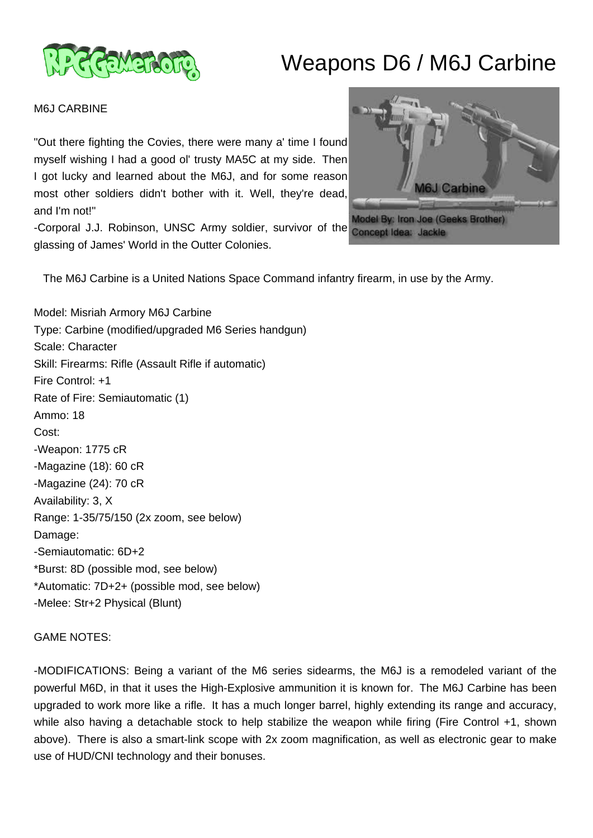

## Weapons D6 / M6J Carbine

M6J CARBINE

"Out there fighting the Covies, there were many a' time I found myself wishing I had a good ol' trusty MA5C at my side. Then I got lucky and learned about the M6J, and for some reason most other soldiers didn't bother with it. Well, they're dead, and I'm not!"

-Corporal J.J. Robinson, UNSC Army soldier, survivor of the glassing of James' World in the Outter Colonies.



The M6J Carbine is a United Nations Space Command infantry firearm, in use by the Army.

Model: Misriah Armory M6J Carbine Type: Carbine (modified/upgraded M6 Series handgun) Scale: Character Skill: Firearms: Rifle (Assault Rifle if automatic) Fire Control: +1 Rate of Fire: Semiautomatic (1) Ammo: 18 Cost: -Weapon: 1775 cR -Magazine (18): 60 cR -Magazine (24): 70 cR Availability: 3, X Range: 1-35/75/150 (2x zoom, see below) Damage: -Semiautomatic: 6D+2 \*Burst: 8D (possible mod, see below) \*Automatic: 7D+2+ (possible mod, see below) -Melee: Str+2 Physical (Blunt)

GAME NOTES:

-MODIFICATIONS: Being a variant of the M6 series sidearms, the M6J is a remodeled variant of the powerful M6D, in that it uses the High-Explosive ammunition it is known for. The M6J Carbine has been upgraded to work more like a rifle. It has a much longer barrel, highly extending its range and accuracy, while also having a detachable stock to help stabilize the weapon while firing (Fire Control +1, shown above). There is also a smart-link scope with 2x zoom magnification, as well as electronic gear to make use of HUD/CNI technology and their bonuses.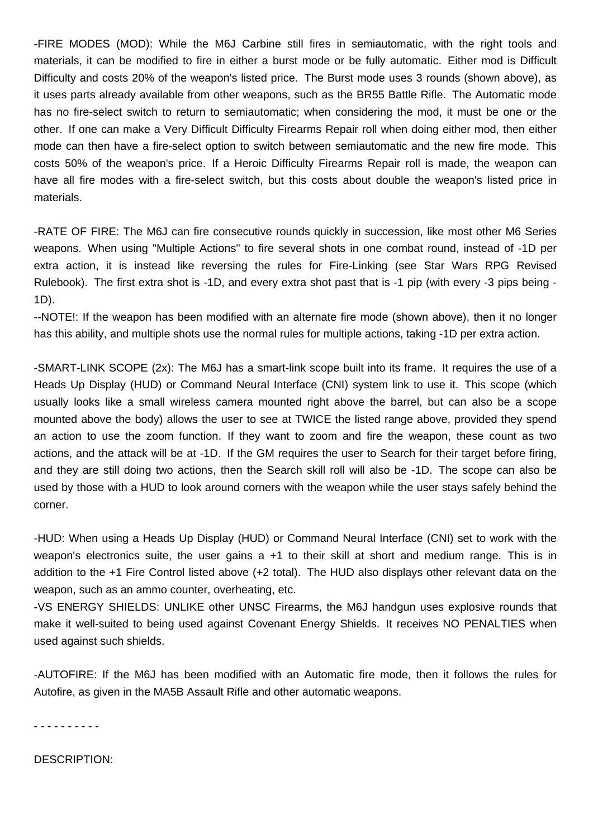-FIRE MODES (MOD): While the M6J Carbine still fires in semiautomatic, with the right tools and materials, it can be modified to fire in either a burst mode or be fully automatic. Either mod is Difficult Difficulty and costs 20% of the weapon's listed price. The Burst mode uses 3 rounds (shown above), as it uses parts already available from other weapons, such as the BR55 Battle Rifle. The Automatic mode has no fire-select switch to return to semiautomatic; when considering the mod, it must be one or the other. If one can make a Very Difficult Difficulty Firearms Repair roll when doing either mod, then either mode can then have a fire-select option to switch between semiautomatic and the new fire mode. This costs 50% of the weapon's price. If a Heroic Difficulty Firearms Repair roll is made, the weapon can have all fire modes with a fire-select switch, but this costs about double the weapon's listed price in materials.

-RATE OF FIRE: The M6J can fire consecutive rounds quickly in succession, like most other M6 Series weapons. When using "Multiple Actions" to fire several shots in one combat round, instead of -1D per extra action, it is instead like reversing the rules for Fire-Linking (see Star Wars RPG Revised Rulebook). The first extra shot is -1D, and every extra shot past that is -1 pip (with every -3 pips being - 1D).

--NOTE!: If the weapon has been modified with an alternate fire mode (shown above), then it no longer has this ability, and multiple shots use the normal rules for multiple actions, taking -1D per extra action.

-SMART-LINK SCOPE (2x): The M6J has a smart-link scope built into its frame. It requires the use of a Heads Up Display (HUD) or Command Neural Interface (CNI) system link to use it. This scope (which usually looks like a small wireless camera mounted right above the barrel, but can also be a scope mounted above the body) allows the user to see at TWICE the listed range above, provided they spend an action to use the zoom function. If they want to zoom and fire the weapon, these count as two actions, and the attack will be at -1D. If the GM requires the user to Search for their target before firing, and they are still doing two actions, then the Search skill roll will also be -1D. The scope can also be used by those with a HUD to look around corners with the weapon while the user stays safely behind the corner.

-HUD: When using a Heads Up Display (HUD) or Command Neural Interface (CNI) set to work with the weapon's electronics suite, the user gains a +1 to their skill at short and medium range. This is in addition to the +1 Fire Control listed above (+2 total). The HUD also displays other relevant data on the weapon, such as an ammo counter, overheating, etc.

-VS ENERGY SHIELDS: UNLIKE other UNSC Firearms, the M6J handgun uses explosive rounds that make it well-suited to being used against Covenant Energy Shields. It receives NO PENALTIES when used against such shields.

-AUTOFIRE: If the M6J has been modified with an Automatic fire mode, then it follows the rules for Autofire, as given in the MA5B Assault Rifle and other automatic weapons.

- - - - - - - - - -

DESCRIPTION: